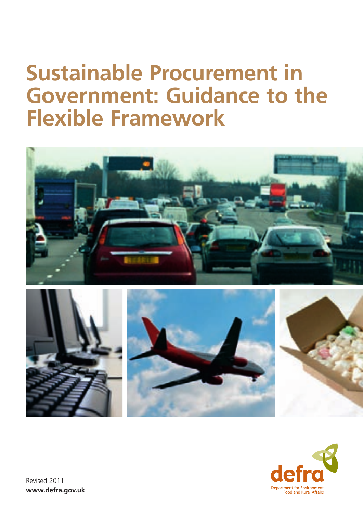# **Sustainable Procurement in Government: Guidance to the Flexible Framework**







Revised 2011 **www.defra.gov.uk**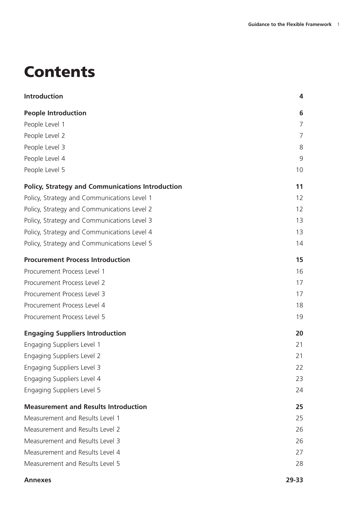# **Contents**

| <b>Introduction</b>                                     | 4     |
|---------------------------------------------------------|-------|
| <b>People Introduction</b>                              | 6     |
| People Level 1                                          | 7     |
| People Level 2                                          | 7     |
| People Level 3                                          | 8     |
| People Level 4                                          | 9     |
| People Level 5                                          | 10    |
| <b>Policy, Strategy and Communications Introduction</b> | 11    |
| Policy, Strategy and Communications Level 1             | 12    |
| Policy, Strategy and Communications Level 2             | 12    |
| Policy, Strategy and Communications Level 3             | 13    |
| Policy, Strategy and Communications Level 4             | 13    |
| Policy, Strategy and Communications Level 5             | 14    |
| <b>Procurement Process Introduction</b>                 | 15    |
| Procurement Process Level 1                             | 16    |
| Procurement Process Level 2                             | 17    |
| Procurement Process Level 3                             | 17    |
| Procurement Process Level 4                             | 18    |
| Procurement Process Level 5                             | 19    |
| <b>Engaging Suppliers Introduction</b>                  | 20    |
| Engaging Suppliers Level 1                              | 21    |
| Engaging Suppliers Level 2                              | 21    |
| Engaging Suppliers Level 3                              | 22    |
| Engaging Suppliers Level 4                              | 23    |
| Engaging Suppliers Level 5                              | 24    |
| <b>Measurement and Results Introduction</b>             | 25    |
| Measurement and Results Level 1                         | 25    |
| Measurement and Results Level 2                         | 26    |
| Measurement and Results Level 3                         | 26    |
| Measurement and Results Level 4                         | 27    |
| Measurement and Results Level 5                         | 28    |
| <b>Annexes</b>                                          | 29-33 |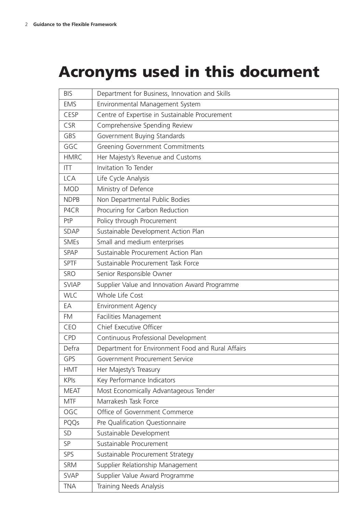# **Acronyms used in this document**

| <b>BIS</b>   | Department for Business, Innovation and Skills    |
|--------------|---------------------------------------------------|
| <b>EMS</b>   | Environmental Management System                   |
| CESP         | Centre of Expertise in Sustainable Procurement    |
| <b>CSR</b>   | Comprehensive Spending Review                     |
| GBS          | Government Buying Standards                       |
| GGC          | <b>Greening Government Commitments</b>            |
| <b>HMRC</b>  | Her Majesty's Revenue and Customs                 |
| <b>ITT</b>   | Invitation To Tender                              |
| <b>LCA</b>   | Life Cycle Analysis                               |
| <b>MOD</b>   | Ministry of Defence                               |
| <b>NDPB</b>  | Non Departmental Public Bodies                    |
| P4CR         | Procuring for Carbon Reduction                    |
| PtP          | Policy through Procurement                        |
| SDAP         | Sustainable Development Action Plan               |
| <b>SMEs</b>  | Small and medium enterprises                      |
| <b>SPAP</b>  | Sustainable Procurement Action Plan               |
| <b>SPTF</b>  | Sustainable Procurement Task Force                |
| SRO          | Senior Responsible Owner                          |
| <b>SVIAP</b> | Supplier Value and Innovation Award Programme     |
| <b>WLC</b>   | Whole Life Cost                                   |
| EA           | <b>Environment Agency</b>                         |
| <b>FM</b>    | Facilities Management                             |
| CEO          | Chief Executive Officer                           |
| CPD          | Continuous Professional Development               |
| Defra        | Department for Environment Food and Rural Affairs |
| GPS          | Government Procurement Service                    |
| <b>HMT</b>   | Her Majesty's Treasury                            |
| <b>KPIs</b>  | Key Performance Indicators                        |
| <b>MEAT</b>  | Most Economically Advantageous Tender             |
| <b>MTF</b>   | Marrakesh Task Force                              |
| OGC          | Office of Government Commerce                     |
| PQQs         | Pre Qualification Questionnaire                   |
| <b>SD</b>    | Sustainable Development                           |
| SP           | Sustainable Procurement                           |
| SPS          | Sustainable Procurement Strategy                  |
| <b>SRM</b>   | Supplier Relationship Management                  |
| <b>SVAP</b>  | Supplier Value Award Programme                    |
| <b>TNA</b>   | Training Needs Analysis                           |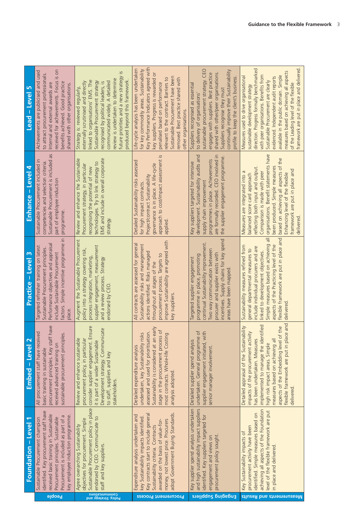| $\mathbf{r}$<br>Lead - Level               | received for achievements. Focus is on<br>Achievements are publicised and used<br>to attract procurement professionals.<br>benefits achieved. Good practice<br>Internal and external awards are<br>shared with other organisations.                          | future priorities and a new strategy<br>review is undertaken to determine<br>produced beyond this framework.<br>linked to organisations' EMS. The<br>Sustainable Procurement strategy<br>communicated widely. A detailed<br>externally scrutinised and directly<br>recognised by political leaders,<br>Strategy is: reviewed regularly, | Key Performance Indicators agreed with<br>Life-cycle analysis has been undertaken<br>for key commodity areas. Sustainability<br>key suppliers. Progress is rewarded or<br>Sustainable Procurement have been<br>relevant to the contract. Barriers to<br>removed. Best practice shared with<br>penalised based on performance<br>other organisations | sustainable procurement strategy. CEO<br>continually improve their Sustainability<br>engages with suppliers. Best practice<br>shared with other/peer organisations.<br>profile to keep the client's business.<br>Suppliers recognised as essential<br>Suppliers recognise they must<br>to delivery of organisations' | direction. Progress formally benchmarked<br>framework are put in place and delivered<br>measures based on achieving all aspects<br>available in the public domain. Simple<br>with peer organisations. Benefits from<br>Measures used to drive organisational<br>evidenced. Independent audit reports<br>Sustainable Procurement are clearly<br>of the Leading level of the flexible<br>sustainable development strategy |
|--------------------------------------------|--------------------------------------------------------------------------------------------------------------------------------------------------------------------------------------------------------------------------------------------------------------|-----------------------------------------------------------------------------------------------------------------------------------------------------------------------------------------------------------------------------------------------------------------------------------------------------------------------------------------|-----------------------------------------------------------------------------------------------------------------------------------------------------------------------------------------------------------------------------------------------------------------------------------------------------------------------------------------------------|----------------------------------------------------------------------------------------------------------------------------------------------------------------------------------------------------------------------------------------------------------------------------------------------------------------------|-------------------------------------------------------------------------------------------------------------------------------------------------------------------------------------------------------------------------------------------------------------------------------------------------------------------------------------------------------------------------------------------------------------------------|
| Enhance - Level 4                          | Sustainable Procurement is included as<br>Sustainable Procurement included in<br>competencies and selection criteria.<br>part of employee induction<br>programme.                                                                                            | EMS and include in overall corporate<br>Review and enhance the Sustainable<br>technologies. Try to link strategy to<br>Procurement strategy, in particular<br>recognising the potential of new<br>strategy.                                                                                                                             | approach to cost/impact assessment is<br>Detailed Sustainability risks assessed<br>governance is in place. A life-cycle<br>Project/contract Sustainability<br>for high impact contracts<br>applied.                                                                                                                                                 | development. Sustainability audits and<br>are formally recorded. CEO involved in<br>the supplier engagement programme.<br>programmes in place. Achievements<br>Key suppliers targeted for intensive<br>supply chain improvement                                                                                      | organisations. Benefit statements have<br>based on achieving all aspects of the<br>been produced. Simple measures<br>reflecting both input and output.<br>framework are put in place and<br>Measures are integrated into a<br>Comparison is made with peer<br>balanced score card approach<br>Enhancing level of the flexible<br>delivered                                                                              |
| $\mathsf{C}$<br>Practice - Level           | factors. Simple incentive programme in<br>Performance objectives and appraisal<br>Targeted refresher training on latest<br>Sustainable Procurement principles.<br>include Sustainable Procurement<br>place.                                                  | Augment the Sustainable Procurement<br>supplier engagement, measurement<br>policy into a strategy covering risk,<br>process integration, marketing,<br>and a review process. Strategy<br>endorsed by CEO                                                                                                                                | improve Sustainability are agreed with<br>All contracts are assessed for general<br>Sustainability risks and management<br>actions identified. Risks managed<br>procurement process. Targets to<br>throughout all stages of the<br>key suppliers.                                                                                                   | incentives. Supply chains for key spend<br>continual Sustainability improvement.<br>Two way communication between<br>procurer and supplier exists with<br>programme in place, promoting<br>Targeted supplier engagement<br>areas have been mapped                                                                    | flexible framework are put in place and<br>$\overline{\overline{\sigma}}$<br>Simple measures based on achieving<br>aspects of the Practicing level of the<br>Sustainability measures refined from<br>include individual procurers and are<br>general departmental measures to<br>linked to development objectives.<br>delivered                                                                                         |
| Embed - Level 2                            | procurement principles. Key staff have<br>led<br>sustainable procurement principles.<br>All procurement staff have receiv<br>received advanced training on<br>basic training in sustainable                                                                  | consider supplier engagement. Ensure<br>icate<br>Review and enhance sustainable<br>procurement policy, in particular<br>Development strategy. Communi<br>it is part of a wider Sustainable<br>to staff, suppliers and key<br>stakeholders                                                                                               | early<br>stage in the procurement process of<br>δ.<br>undertaken, key Sustainability risks<br>most contracts. Whole-life Costing<br>assessed and used for prioritisati<br>Sustainability is considered at an<br>Detailed expenditure analysis<br>analysis adopted.                                                                                  | undertaken. General programme of<br>supplier engagement initiated, with<br>Detailed supplier spend analysis<br>senior manager involvement.                                                                                                                                                                           | flexible framework are put in place and<br>ntified<br>Detailed appraisal of the Sustainability<br>aspects of the Embedding level of the<br>impacts of the procurement activity<br>implemented to manage the ide<br>has been undertaken. Measures<br>measures based on achieving all<br>high risk impact areas. Simple<br>delivered                                                                                      |
| $\blacktriangledown$<br>Foundation - Level | identified. Key procurement staff have<br>received basic training in Sustainable<br>key employee induction programme.<br>$\sigma$<br>Procurement principles. Sustainable<br>Sustainable Procurement champion<br>Procurement is included as part of<br>beoble | Sustainable Procurement policy in place<br>endorsed by CEO. Communicate to<br>objectives for procurement. Simple<br>Agree overarching Sustainability<br>staff and key suppliers<br>Communications                                                                                                                                       | adopt Government Buying Standards.<br>Key contracts start to include general<br>Expenditure analysis undertaken and<br>key Sustainability impacts identified<br>money, not lowest price. Procurers<br>awarded on the basis of value-for-<br>Sustainability criteria. Contracts<br>Procurement Process                                               | Key supplier spend analysis undertaken<br>and high sustainability impact suppliers<br>identified. Key suppliers targeted for<br>procurement policy sought<br>engagement and views on<br>Engaging puissant                                                                                                            | achieving all aspects of the Foundation<br>level of the flexible framework are put<br>identified. Simple measures based on<br>procurement activity have been<br>Key Sustainability impacts of<br>in place and delivered.<br>Measurements and Results                                                                                                                                                                    |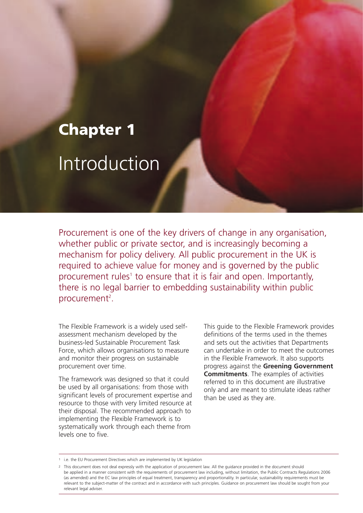# **Chapter 1** Introduction

Procurement is one of the key drivers of change in any organisation, whether public or private sector, and is increasingly becoming a mechanism for policy delivery. All public procurement in the UK is required to achieve value for money and is governed by the public procurement rules<sup>1</sup> to ensure that it is fair and open. Importantly, there is no legal barrier to embedding sustainability within public procurement<sup>2</sup>.

The Flexible Framework is a widely used selfassessment mechanism developed by the business-led Sustainable Procurement Task Force, which allows organisations to measure and monitor their progress on sustainable procurement over time.

The framework was designed so that it could be used by all organisations: from those with significant levels of procurement expertise and resource to those with very limited resource at their disposal. The recommended approach to implementing the Flexible Framework is to systematically work through each theme from levels one to five.

This guide to the Flexible Framework provides definitions of the terms used in the themes and sets out the activities that Departments can undertake in order to meet the outcomes in the Flexible Framework. It also supports progress against the **Greening Government Commitments**. The examples of activities referred to in this document are illustrative only and are meant to stimulate ideas rather than be used as they are.

<sup>1</sup> i.e. the EU Procurement Directives which are implemented by UK legislation

<sup>2</sup> This document does not deal expressly with the application of procurement law. All the guidance provided in the document should be applied in a manner consistent with the requirements of procurement law including, without limitation, the Public Contracts Regulations 2006 (as amended) and the EC law principles of equal treatment, transparency and proportionality. In particular, sustainability requirements must be relevant to the subject-matter of the contract and in accordance with such principles. Guidance on procurement law should be sought from your relevant legal adviser.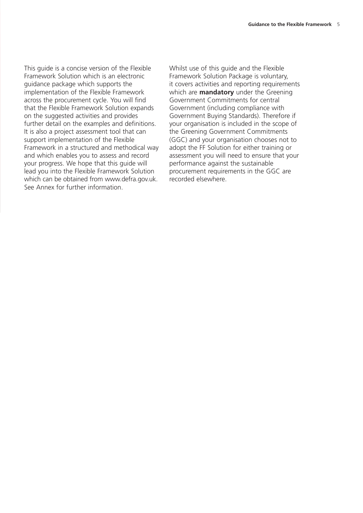This guide is a concise version of the Flexible Framework Solution which is an electronic guidance package which supports the implementation of the Flexible Framework across the procurement cycle. You will find that the Flexible Framework Solution expands on the suggested activities and provides further detail on the examples and definitions. It is also a project assessment tool that can support implementation of the Flexible Framework in a structured and methodical way and which enables you to assess and record your progress. We hope that this guide will lead you into the Flexible Framework Solution which can be obtained from www.defra.gov.uk. See Annex for further information.

Whilst use of this guide and the Flexible Framework Solution Package is voluntary, it covers activities and reporting requirements which are **mandatory** under the Greening Government Commitments for central Government (including compliance with Government Buying Standards). Therefore if your organisation is included in the scope of the Greening Government Commitments (GGC) and your organisation chooses not to adopt the FF Solution for either training or assessment you will need to ensure that your performance against the sustainable procurement requirements in the GGC are recorded elsewhere.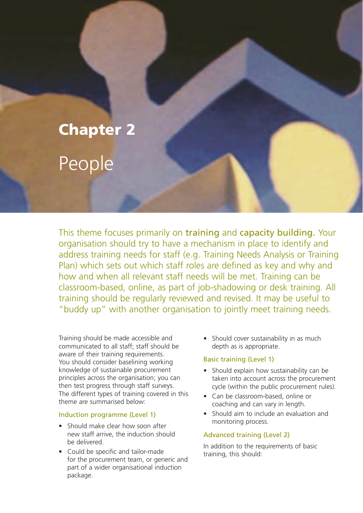# **Chapter 2** People

This theme focuses primarily on training and capacity building. Your organisation should try to have a mechanism in place to identify and address training needs for staff (e.g. Training Needs Analysis or Training Plan) which sets out which staff roles are defined as key and why and how and when all relevant staff needs will be met. Training can be classroom-based, online, as part of job-shadowing or desk training. All training should be regularly reviewed and revised. It may be useful to "buddy up" with another organisation to jointly meet training needs.

Training should be made accessible and communicated to all staff; staff should be aware of their training requirements. You should consider baselining working knowledge of sustainable procurement principles across the organisation; you can then test progress through staff surveys. The different types of training covered in this theme are summarised below:

#### Induction programme (Level 1)

- Should make clear how soon after new staff arrive, the induction should be delivered.
- Could be specific and tailor-made for the procurement team, or generic and part of a wider organisational induction package.

• Should cover sustainability in as much depth as is appropriate.

#### Basic training (Level 1)

- Should explain how sustainability can be taken into account across the procurement cycle (within the public procurement rules).
- Can be classroom-based, online or coaching and can vary in length.
- Should aim to include an evaluation and monitoring process.

#### Advanced training (Level 2)

In addition to the requirements of basic training, this should: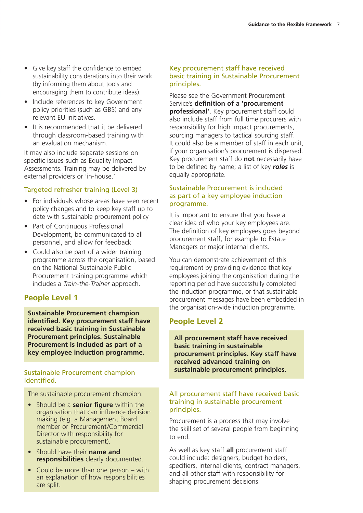- Give key staff the confidence to embed sustainability considerations into their work (by informing them about tools and encouraging them to contribute ideas).
- Include references to key Government policy priorities (such as GBS) and any relevant EU initiatives.
- It is recommended that it be delivered through classroom-based training with an evaluation mechanism.

It may also include separate sessions on specific issues such as Equality Impact Assessments. Training may be delivered by external providers or 'in-house.'

### Targeted refresher training (Level 3)

- For individuals whose areas have seen recent policy changes and to keep key staff up to date with sustainable procurement policy
- Part of Continuous Professional Development, be communicated to all personnel, and allow for feedback
- Could also be part of a wider training programme across the organisation, based on the National Sustainable Public Procurement training programme which includes a *Train-the-Trainer* approach.

# **People Level 1**

**Sustainable Procurement champion identified. Key procurement staff have received basic training in Sustainable Procurement principles. Sustainable Procurement is included as part of a key employee induction programme.**

#### Sustainable Procurement champion identified.

The sustainable procurement champion:

- Should be a **senior figure** within the organisation that can influence decision making (e.g. a Management Board member or Procurement/Commercial Director with responsibility for sustainable procurement).
- Should have their **name and responsibilities** clearly documented.
- Could be more than one person with an explanation of how responsibilities are split.

#### Key procurement staff have received basic training in Sustainable Procurement principles.

Please see the Government Procurement Service's **definition of a 'procurement professional'**. Key procurement staff could also include staff from full time procurers with responsibility for high impact procurements, sourcing managers to tactical sourcing staff. It could also be a member of staff in each unit, if your organisation's procurement is dispersed. Key procurement staff do **not** necessarily have to be defined by name; a list of key *roles* is equally appropriate.

#### Sustainable Procurement is included as part of a key employee induction programme.

It is important to ensure that you have a clear idea of who your key employees are. The definition of key employees goes beyond procurement staff, for example to Estate Managers or major internal clients.

You can demonstrate achievement of this requirement by providing evidence that key employees joining the organisation during the reporting period have successfully completed the induction programme, or that sustainable procurement messages have been embedded in the organisation-wide induction programme.

# **People Level 2**

**All procurement staff have received basic training in sustainable procurement principles. Key staff have received advanced training on sustainable procurement principles.**

#### All procurement staff have received basic training in sustainable procurement principles.

Procurement is a process that may involve the skill set of several people from beginning to end.

As well as key staff **all** procurement staff could include: designers, budget holders, specifiers, internal clients, contract managers, and all other staff with responsibility for shaping procurement decisions.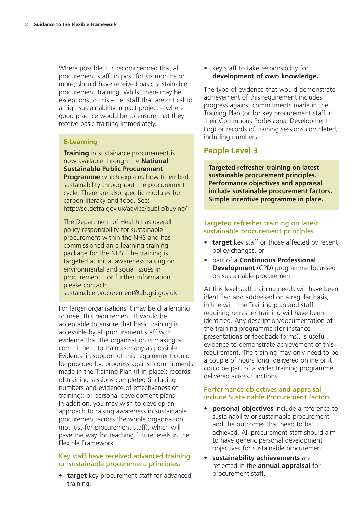Where possible it is recommended that all procurement staff, in post for six months or more, should have received basic sustainable procurement training. Whilst there may be exceptions to this – i.e. staff that are critical to a high sustainability impact project – where good practice would be to ensure that they receive basic training immediately.

#### **E-Learning**

**Training** in sustainable procurement is now available through the **National Sustainable Public Procurement Programme** which explains how to embed sustainability throughout the procurement cycle. There are also specific modules for carbon literacy and food. See: http://sd.defra.gov.uk/advice/public/buying/

The Department of Health has overall policy responsibility for sustainable procurement within the NHS and has commissioned an e-learning training package for the NHS. The training is targeted at initial awareness raising on environmental and social issues in procurement. For further information please contact:

sustainable.procurement@dh.gsi.gov.uk

For larger organisations it may be challenging to meet this requirement. It would be acceptable to ensure that basic training is accessible by all procurement staff with evidence that the organisation is making a commitment to train as many as possible. Evidence in support of this requirement could be provided by: progress against commitments made in the Training Plan (if in place); records of training sessions completed (including numbers and evidence of effectiveness of training); or personal development plans. In addition, you may wish to develop an approach to raising awareness in sustainable procurement across the whole organisation (not just for procurement staff), which will pave the way for reaching future levels in the Flexible Framework.

#### Key staff have received advanced training on sustainable procurement principles.

• **target** key procurement staff for advanced training.

• key staff to take responsibility for **development of own knowledge.**

The type of evidence that would demonstrate achievement of this requirement includes: progress against commitments made in the Training Plan (or for key procurement staff in their Continuous Professional Development Log) or records of training sessions completed, including numbers.

# **People Level 3**

**Targeted refresher training on latest sustainable procurement principles. Performance objectives and appraisal include sustainable procurement factors. Simple incentive programme in place.**

#### Targeted refresher training on latest sustainable procurement principles.

- **target** key staff or those affected by recent policy changes, or
- part of a **Continuous Professional Development** (CPD) programme focussed on sustainable procurement

At this level staff training needs will have been identified and addressed on a regular basis, in line with the Training plan and staff requiring refresher training will have been identified. Any description/documentation of the training programme (for instance presentations or feedback forms), is useful evidence to demonstrate achievement of this requirement. The training may only need to be a couple of hours long, delivered online or it could be part of a wider training programme delivered across functions.

#### Performance objectives and appraisal include Sustainable Procurement factors

- **personal objectives** include a reference to sustainability or sustainable procurement and the outcomes that need to be achieved. All procurement staff should aim to have generic personal development objectives for sustainable procurement.
- **sustainability achievements** are reflected in the **annual appraisal** for procurement staff.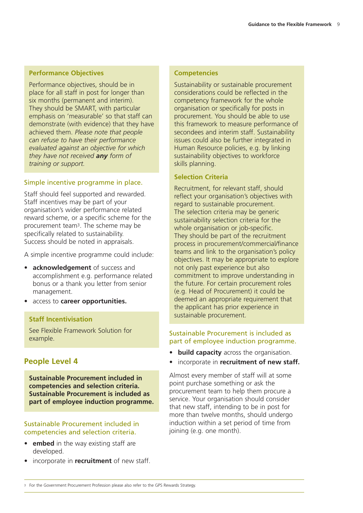#### **Performance Objectives**

Performance objectives, should be in place for all staff in post for longer than six months (permanent and interim). They should be SMART, with particular emphasis on 'measurable' so that staff can demonstrate (with evidence) that they have achieved them. *Please note that people can refuse to have their performance evaluated against an objective for which they have not received any form of training or support.*

#### Simple incentive programme in place.

Staff should feel supported and rewarded. Staff incentives may be part of your organisation's wider performance related reward scheme, or a specific scheme for the procurement team3. The scheme may be specifically related to sustainability. Success should be noted in appraisals.

A simple incentive programme could include:

- **acknowledgement** of success and accomplishment e.g. performance related bonus or a thank you letter from senior management.
- access to **career opportunities.**

#### **Staff Incentivisation**

See Flexible Framework Solution for example.

#### **People Level 4**

**Sustainable Procurement included in competencies and selection criteria. Sustainable Procurement is included as part of employee induction programme.**

#### Sustainable Procurement included in competencies and selection criteria.

- **embed** in the way existing staff are developed.
- incorporate in **recruitment** of new staff.

#### **Competencies**

Sustainability or sustainable procurement considerations could be reflected in the competency framework for the whole organisation or specifically for posts in procurement. You should be able to use this framework to measure performance of secondees and interim staff. Sustainability issues could also be further integrated in Human Resource policies, e.g. by linking sustainability objectives to workforce skills planning.

#### **Selection Criteria**

Recruitment, for relevant staff, should reflect your organisation's objectives with regard to sustainable procurement. The selection criteria may be generic sustainability selection criteria for the whole organisation or job-specific. They should be part of the recruitment process in procurement/commercial/finance teams and link to the organisation's policy objectives. It may be appropriate to explore not only past experience but also commitment to improve understanding in the future. For certain procurement roles (e.g. Head of Procurement) it could be deemed an appropriate requirement that the applicant has prior experience in sustainable procurement.

#### Sustainable Procurement is included as part of employee induction programme.

- **build capacity** across the organisation.
- incorporate in **recruitment of new staff.**

Almost every member of staff will at some point purchase something or ask the procurement team to help them procure a service. Your organisation should consider that new staff, intending to be in post for more than twelve months, should undergo induction within a set period of time from joining (e.g. one month).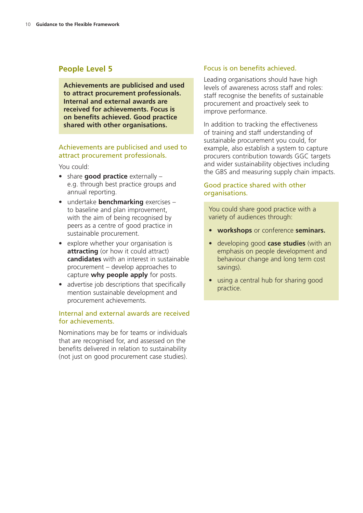## **People Level 5**

**Achievements are publicised and used to attract procurement professionals. Internal and external awards are received for achievements. Focus is on benefits achieved. Good practice shared with other organisations.**

#### Achievements are publicised and used to attract procurement professionals.

You could:

- share **good practice** externally e.g. through best practice groups and annual reporting.
- undertake **benchmarking** exercises to baseline and plan improvement, with the aim of being recognised by peers as a centre of good practice in sustainable procurement.
- explore whether your organisation is **attracting** (or how it could attract) **candidates** with an interest in sustainable procurement – develop approaches to capture **why people apply** for posts.
- advertise job descriptions that specifically mention sustainable development and procurement achievements.

#### Internal and external awards are received for achievements.

Nominations may be for teams or individuals that are recognised for, and assessed on the benefits delivered in relation to sustainability (not just on good procurement case studies).

#### Focus is on benefits achieved.

Leading organisations should have high levels of awareness across staff and roles: staff recognise the benefits of sustainable procurement and proactively seek to improve performance.

In addition to tracking the effectiveness of training and staff understanding of sustainable procurement you could, for example, also establish a system to capture procurers contribution towards GGC targets and wider sustainability objectives including the GBS and measuring supply chain impacts.

#### Good practice shared with other organisations.

You could share good practice with a variety of audiences through:

- **workshops** or conference **seminars.**
- developing good **case studies** (with an emphasis on people development and behaviour change and long term cost savings).
- using a central hub for sharing good practice.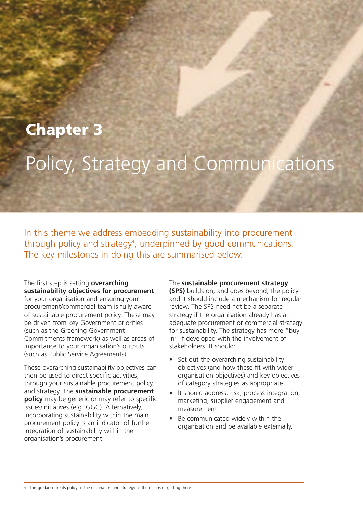# **Chapter 3**

# Policy, Strategy and Communications

In this theme we address embedding sustainability into procurement through policy and strategy<sup>4</sup>, underpinned by good communications. The key milestones in doing this are summarised below.

The first step is setting **overarching sustainability objectives for procurement** for your organisation and ensuring your procurement/commercial team is fully aware of sustainable procurement policy. These may be driven from key Government priorities (such as the Greening Government Commitments framework) as well as areas of importance to your organisation's outputs (such as Public Service Agreements).

These overarching sustainability objectives can then be used to direct specific activities, through your sustainable procurement policy and strategy. The **sustainable procurement policy** may be generic or may refer to specific issues/initiatives (e.g. GGC). Alternatively, incorporating sustainability within the main procurement policy is an indicator of further integration of sustainability within the organisation's procurement.

#### The **sustainable procurement strategy**

**(SPS)** builds on, and goes beyond, the policy and it should include a mechanism for regular review. The SPS need not be a separate strategy if the organisation already has an adequate procurement or commercial strategy for sustainability. The strategy has more "buy in" if developed with the involvement of stakeholders. It should:

- Set out the overarching sustainability objectives (and how these fit with wider organisation objectives) and key objectives of category strategies as appropriate.
- It should address: risk, process integration, marketing, supplier engagement and measurement.
- Be communicated widely within the organisation and be available externally.

4 This guidance treats policy as the destination and strategy as the means of getting there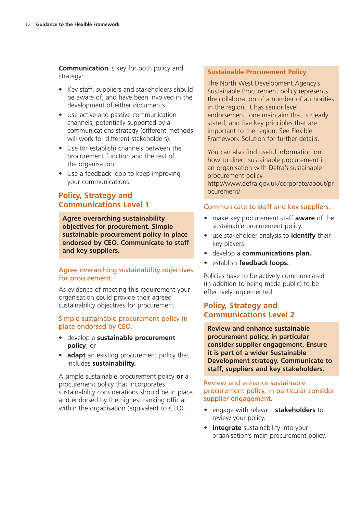**Communication** is key for both policy and strategy:

- Key staff, suppliers and stakeholders should be aware of, and have been involved in the development of either documents.
- Use active and passive communication channels, potentially supported by a communications strategy (different methods will work for different stakeholders).
- Use (or establish) channels between the procurement function and the rest of the organisation.
- Use a feedback loop to keep improving your communications.

# **Policy, Strategy and Communications Level 1**

**Agree overarching sustainability objectives for procurement. Simple sustainable procurement policy in place endorsed by CEO. Communicate to staff and key suppliers.**

#### Agree overarching sustainability objectives for procurement.

As evidence of meeting this requirement your organisation could provide their agreed sustainability objectives for procurement.

#### Simple sustainable procurement policy in place endorsed by CEO.

- develop a **sustainable procurement policy**; or
- **adapt** an existing procurement policy that includes **sustainability.**

A simple sustainable procurement policy **or** a procurement policy that incorporates sustainability considerations should be in place and endorsed by the highest ranking official within the organisation (equivalent to CEO).

#### **Sustainable Procurement Policy**

The North West Development Agency's Sustainable Procurement policy represents the collaboration of a number of authorities in the region. It has senior level endorsement, one main aim that is clearly stated, and five key principles that are important to the region. See Flexible Framework Solution for further details.

You can also find useful information on how to direct sustainable procurement in an organisation with Defra's sustainable procurement policy http://www.defra.gov.uk/corporate/about/pr ocurement/

#### Communicate to staff and key suppliers.

- make key procurement staff **aware** of the sustainable procurement policy.
- use stakeholder analysis to **identify** their key players.
- develop a **communications plan.**
- establish **feedback loops.**

Policies have to be actively communicated (in addition to being made public) to be effectively implemented.

### **Policy, Strategy and Communications Level 2**

**Review and enhance sustainable procurement policy, in particular consider supplier engagement. Ensure it is part of a wider Sustainable Development strategy. Communicate to staff, suppliers and key stakeholders.**

#### Review and enhance sustainable procurement policy, in particular consider supplier engagement.

- engage with relevant **stakeholders** to review your policy.
- **integrate** sustainability into your organisation's main procurement policy.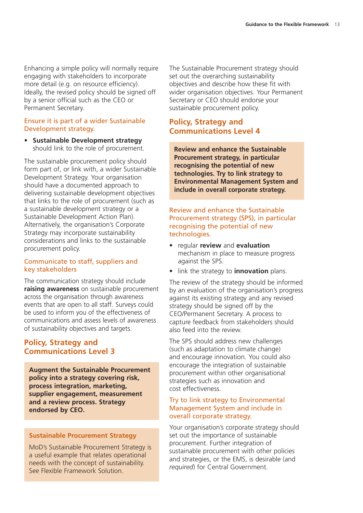Enhancing a simple policy will normally require engaging with stakeholders to incorporate more detail (e.g. on resource efficiency). Ideally, the revised policy should be signed off by a senior official such as the CEO or Permanent Secretary.

#### Ensure it is part of a wider Sustainable Development strategy.

• **Sustainable Development strategy** should link to the role of procurement.

The sustainable procurement policy should form part of, or link with, a wider Sustainable Development Strategy. Your organisation should have a documented approach to delivering sustainable development objectives that links to the role of procurement (such as a sustainable development strategy or a Sustainable Development Action Plan). Alternatively, the organisation's Corporate Strategy may incorporate sustainability considerations and links to the sustainable procurement policy.

#### Communicate to staff, suppliers and key stakeholders

The communication strategy should include **raising awareness** on sustainable procurement across the organisation through awareness events that are open to all staff. Surveys could be used to inform you of the effectiveness of communications and assess levels of awareness of sustainability objectives and targets.

### **Policy, Strategy and Communications Level 3**

**Augment the Sustainable Procurement policy into a strategy covering risk, process integration, marketing, supplier engagement, measurement and a review process. Strategy endorsed by CEO.**

#### **Sustainable Procurement Strategy**

MoD's Sustainable Procurement Strategy is a useful example that relates operational needs with the concept of sustainability. See Flexible Framework Solution.

The Sustainable Procurement strategy should set out the overarching sustainability objectives and describe how these fit with wider organisation objectives. Your Permanent Secretary or CEO should endorse your sustainable procurement policy.

## **Policy, Strategy and Communications Level 4**

**Review and enhance the Sustainable Procurement strategy, in particular recognising the potential of new technologies. Try to link strategy to Environmental Management System and include in overall corporate strategy.**

#### Review and enhance the Sustainable Procurement strategy (SPS), in particular recognising the potential of new technologies.

- regular **review** and **evaluation** mechanism in place to measure progress against the SPS.
- link the strategy to **innovation** plans.

The review of the strategy should be informed by an evaluation of the organisation's progress against its existing strategy and any revised strategy should be signed off by the CEO/Permanent Secretary. A process to capture feedback from stakeholders should also feed into the review.

The SPS should address new challenges (such as adaptation to climate change) and encourage innovation. You could also encourage the integration of sustainable procurement within other organisational strategies such as innovation and cost effectiveness.

#### Try to link strategy to Environmental Management System and include in overall corporate strategy.

Your organisation's corporate strategy should set out the importance of sustainable procurement. Further integration of sustainable procurement with other policies and strategies, or the EMS, is desirable (and *required*) for Central Government.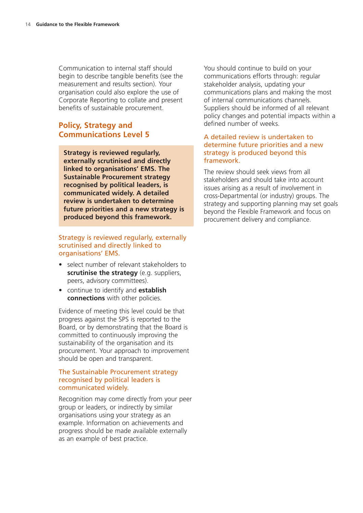Communication to internal staff should begin to describe tangible benefits (see the measurement and results section). Your organisation could also explore the use of Corporate Reporting to collate and present benefits of sustainable procurement.

### **Policy, Strategy and Communications Level 5**

**Strategy is reviewed regularly, externally scrutinised and directly linked to organisations' EMS. The Sustainable Procurement strategy recognised by political leaders, is communicated widely. A detailed review is undertaken to determine future priorities and a new strategy is produced beyond this framework.**

#### Strategy is reviewed regularly, externally scrutinised and directly linked to organisations' EMS.

- select number of relevant stakeholders to **scrutinise the strategy** (e.g. suppliers, peers, advisory committees).
- continue to identify and **establish connections** with other policies.

Evidence of meeting this level could be that progress against the SPS is reported to the Board, or by demonstrating that the Board is committed to continuously improving the sustainability of the organisation and its procurement. Your approach to improvement should be open and transparent.

#### The Sustainable Procurement strategy recognised by political leaders is communicated widely.

Recognition may come directly from your peer group or leaders, or indirectly by similar organisations using your strategy as an example. Information on achievements and progress should be made available externally as an example of best practice.

You should continue to build on your communications efforts through: regular stakeholder analysis, updating your communications plans and making the most of internal communications channels. Suppliers should be informed of all relevant policy changes and potential impacts within a defined number of weeks.

#### A detailed review is undertaken to determine future priorities and a new strategy is produced beyond this framework.

The review should seek views from all stakeholders and should take into account issues arising as a result of involvement in cross-Departmental (or industry) groups. The strategy and supporting planning may set goals beyond the Flexible Framework and focus on procurement delivery and compliance.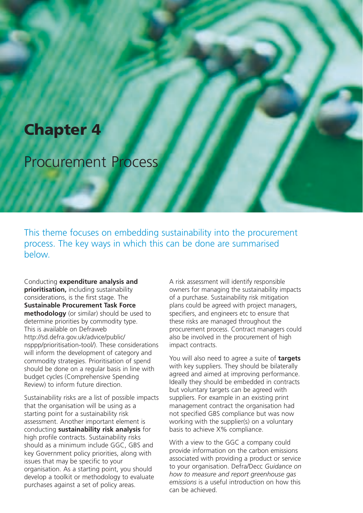# **Chapter 4**

# Procurement Process

This theme focuses on embedding sustainability into the procurement process. The key ways in which this can be done are summarised below.

Conducting **expenditure analysis and prioritisation,** including sustainability considerations, is the first stage. The **Sustainable Procurement Task Force methodology** (or similar) should be used to determine priorities by commodity type. This is available on Defraweb http://sd.defra.gov.uk/advice/public/ nsppp/prioritisation-tool/). These considerations will inform the development of category and commodity strategies. Prioritisation of spend should be done on a regular basis in line with budget cycles (Comprehensive Spending Review) to inform future direction.

Sustainability risks are a list of possible impacts that the organisation will be using as a starting point for a sustainability risk assessment. Another important element is conducting **sustainability risk analysis** for high profile contracts. Sustainability risks should as a minimum include GGC, GBS and key Government policy priorities, along with issues that may be specific to your organisation. As a starting point, you should develop a toolkit or methodology to evaluate purchases against a set of policy areas.

A risk assessment will identify responsible owners for managing the sustainability impacts of a purchase. Sustainability risk mitigation plans could be agreed with project managers, specifiers, and engineers etc to ensure that these risks are managed throughout the procurement process. Contract managers could also be involved in the procurement of high impact contracts.

You will also need to agree a suite of **targets** with key suppliers. They should be bilaterally agreed and aimed at improving performance. Ideally they should be embedded in contracts but voluntary targets can be agreed with suppliers. For example in an existing print management contract the organisation had not specified GBS compliance but was now working with the supplier(s) on a voluntary basis to achieve X% compliance.

With a view to the GGC a company could provide information on the carbon emissions associated with providing a product or service to your organisation. Defra/Decc *Guidance on how to measure and report greenhouse gas emissions* is a useful introduction on how this can be achieved.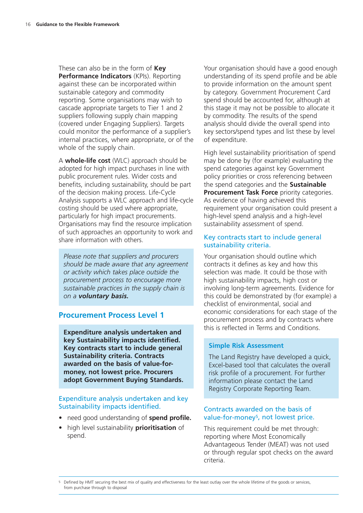These can also be in the form of **Key Performance Indicators** (KPIs). Reporting against these can be incorporated within sustainable category and commodity reporting. Some organisations may wish to cascade appropriate targets to Tier 1 and 2 suppliers following supply chain mapping (covered under Engaging Suppliers). Targets could monitor the performance of a supplier's internal practices, where appropriate, or of the whole of the supply chain.

A **whole-life cost** (WLC) approach should be adopted for high impact purchases in line with public procurement rules. Wider costs and benefits, including sustainability, should be part of the decision making process. Life-Cycle Analysis supports a WLC approach and life-cycle costing should be used where appropriate, particularly for high impact procurements. Organisations may find the resource implication of such approaches an opportunity to work and share information with others.

*Please note that suppliers and procurers should be made aware that any agreement or activity which takes place outside the procurement process to encourage more sustainable practices in the supply chain is on a voluntary basis.*

#### **Procurement Process Level 1**

**Expenditure analysis undertaken and key Sustainability impacts identified. Key contracts start to include general Sustainability criteria. Contracts awarded on the basis of value-formoney, not lowest price. Procurers adopt Government Buying Standards.**

#### Expenditure analysis undertaken and key Sustainability impacts identified.

- need good understanding of **spend profile.**
- high level sustainability **prioritisation** of spend.

Your organisation should have a good enough understanding of its spend profile and be able to provide information on the amount spent by category. Government Procurement Card spend should be accounted for, although at this stage it may not be possible to allocate it by commodity. The results of the spend analysis should divide the overall spend into key sectors/spend types and list these by level of expenditure.

High level sustainability prioritisation of spend may be done by (for example) evaluating the spend categories against key Government policy priorities or cross referencing between the spend categories and the **Sustainable Procurement Task Force** priority categories. As evidence of having achieved this requirement your organisation could present a high-level spend analysis and a high-level sustainability assessment of spend.

#### Key contracts start to include general sustainability criteria.

Your organisation should outline which contracts it defines as key and how this selection was made. It could be those with high sustainability impacts, high cost or involving long-term agreements. Evidence for this could be demonstrated by (for example) a checklist of environmental, social and economic considerations for each stage of the procurement process and by contracts where this is reflected in Terms and Conditions.

#### **Simple Risk Assessment**

The Land Registry have developed a quick. Excel-based tool that calculates the overall risk profile of a procurement. For further information please contact the Land Registry Corporate Reporting Team.

#### Contracts awarded on the basis of value-for-money<sup>5</sup>, not lowest price.

This requirement could be met through: reporting where Most Economically Advantageous Tender (MEAT) was not used or through regular spot checks on the award criteria.

Defined by HMT securing the best mix of quality and effectiveness for the least outlay over the whole lifetime of the goods or services, from purchase through to disposal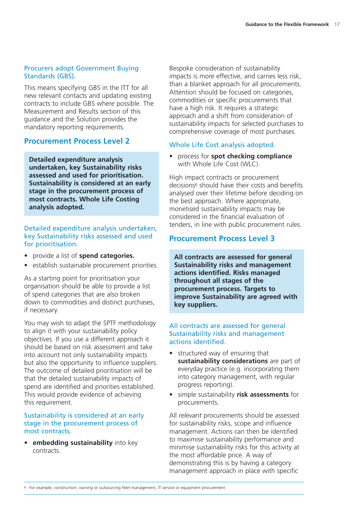#### Procurers adopt Government Buying Standards (GBS).

This means specifying GBS in the ITT for all new relevant contacts and updating existing contracts to include GBS where possible. The Measurement and Results section of this guidance and the Solution provides the mandatory reporting requirements.

#### **Procurement Process Level 2**

**Detailed expenditure analysis undertaken, key Sustainability risks assessed and used for prioritisation. Sustainability is considered at an early stage in the procurement process of most contracts. Whole Life Costing analysis adopted.**

#### Detailed expenditure analysis undertaken, key Sustainability risks assessed and used for prioritisation.

- provide a list of **spend categories.**
- establish sustainable procurement priorities.

As a starting point for prioritisation your organisation should be able to provide a list of spend categories that are also broken down to commodities and distinct purchases, if necessary.

You may wish to adapt the SPTF methodology to align it with your sustainability policy objectives. If you use a different approach it should be based on risk assessment and take into account not only sustainability impacts but also the opportunity to influence suppliers. The outcome of detailed prioritisation will be that the detailed sustainability impacts of spend are identified and priorities established. This would provide evidence of achieving this requirement.

#### Sustainability is considered at an early stage in the procurement process of most contracts.

• **embedding sustainability** into key contracts.

Bespoke consideration of sustainability impacts is more effective, and carries less risk, than a blanket approach for all procurements. Attention should be focused on categories, commodities or specific procurements that have a high risk. It requires a strategic approach and a shift from consideration of sustainability impacts for selected purchases to comprehensive coverage of most purchases.

#### Whole Life Cost analysis adopted.

• process for **spot checking compliance** with Whole Life Cost (WLC).

High impact contracts or procurement decisions6 should have their costs and benefits analysed over their lifetime before deciding on the best approach. Where appropriate, monetised sustainability impacts may be considered in the financial evaluation of tenders, in line with public procurement rules.

### **Procurement Process Level 3**

**All contracts are assessed for general Sustainability risks and management actions identified. Risks managed throughout all stages of the procurement process. Targets to improve Sustainability are agreed with key suppliers.**

#### All contracts are assessed for general Sustainability risks and management actions identified.

- structured way of ensuring that **sustainability considerations** are part of everyday practice (e.g. incorporating them into category management, with regular progress reporting).
- simple sustainability **risk assessments** for procurements.

All *relevant* procurements should be assessed for sustainability risks, scope and influence management. Actions can then be identified to maximise sustainability performance and minimise sustainability risks for this activity at the most affordable price. A way of demonstrating this is by having a category management approach in place with specific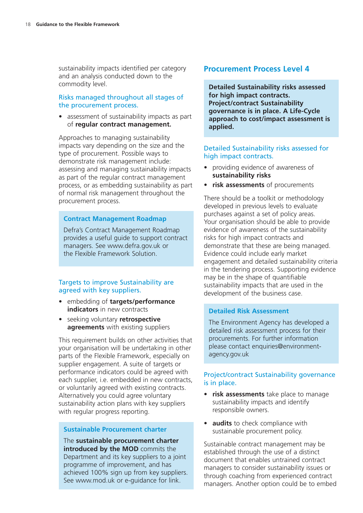sustainability impacts identified per category and an analysis conducted down to the commodity level.

#### Risks managed throughout all stages of the procurement process.

• assessment of sustainability impacts as part of **regular contract management.**

Approaches to managing sustainability impacts vary depending on the size and the type of procurement. Possible ways to demonstrate risk management include: assessing and managing sustainability impacts as part of the regular contract management process, or as embedding sustainability as part of normal risk management throughout the procurement process.

#### **Contract Management Roadmap**

Defra's Contract Management Roadmap provides a useful guide to support contract managers. See www.defra.gov.uk or the Flexible Framework Solution.

#### Targets to improve Sustainability are agreed with key suppliers.

- embedding of **targets/performance indicators** in new contracts
- seeking voluntary **retrospective agreements** with existing suppliers

This requirement builds on other activities that your organisation will be undertaking in other parts of the Flexible Framework, especially on supplier engagement. A suite of targets or performance indicators could be agreed with each supplier, i.e. embedded in new contracts, or voluntarily agreed with existing contracts. Alternatively you could agree voluntary sustainability action plans with key suppliers with regular progress reporting.

#### **Sustainable Procurement charter**

The **sustainable procurement charter introduced by the MOD** commits the Department and its key suppliers to a joint programme of improvement, and has achieved 100% sign up from key suppliers. See www.mod.uk or e-guidance for link.

### **Procurement Process Level 4**

**Detailed Sustainability risks assessed for high impact contracts. Project/contract Sustainability governance is in place. A Life-Cycle approach to cost/impact assessment is applied.**

#### Detailed Sustainability risks assessed for high impact contracts.

- providing evidence of awareness of **sustainability risks**
- **risk assessments** of procurements

There should be a toolkit or methodology developed in previous levels to evaluate purchases against a set of policy areas. Your organisation should be able to provide evidence of awareness of the sustainability risks for high impact contracts and demonstrate that these are being managed. Evidence could include early market engagement and detailed sustainability criteria in the tendering process. Supporting evidence may be in the shape of quantifiable sustainability impacts that are used in the development of the business case.

#### **Detailed Risk Assessment**

The Environment Agency has developed a detailed risk assessment process for their procurements. For further information please contact enquiries@environmentagency.gov.uk

#### Project/contract Sustainability governance is in place.

- **risk assessments** take place to manage sustainability impacts and identify responsible owners.
- **audits** to check compliance with sustainable procurement policy.

Sustainable contract management may be established through the use of a distinct document that enables untrained contract managers to consider sustainability issues or through coaching from experienced contract managers. Another option could be to embed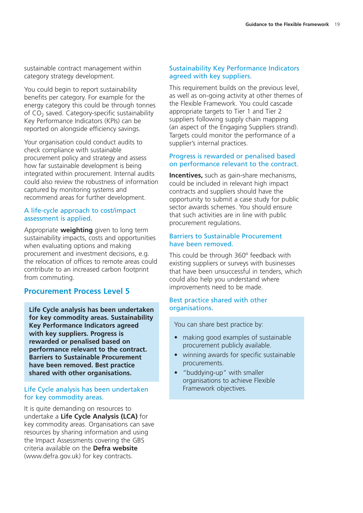sustainable contract management within category strategy development.

You could begin to report sustainability benefits per category. For example for the energy category this could be through tonnes of CO<sub>2</sub> saved. Category-specific sustainability Key Performance Indicators (KPIs) can be reported on alongside efficiency savings.

Your organisation could conduct audits to check compliance with sustainable procurement policy and strategy and assess how far sustainable development is being integrated within procurement. Internal audits could also review the robustness of information captured by monitoring systems and recommend areas for further development.

#### A life-cycle approach to cost/impact assessment is applied.

Appropriate **weighting** given to long term sustainability impacts, costs and opportunities when evaluating options and making procurement and investment decisions, e.g. the relocation of offices to remote areas could contribute to an increased carbon footprint from commuting.

#### **Procurement Process Level 5**

**Life Cycle analysis has been undertaken for key commodity areas. Sustainability Key Performance Indicators agreed with key suppliers. Progress is rewarded or penalised based on performance relevant to the contract. Barriers to Sustainable Procurement have been removed. Best practice shared with other organisations.**

#### Life Cycle analysis has been undertaken for key commodity areas.

It is quite demanding on resources to undertake a **Life Cycle Analysis (LCA)** for key commodity areas. Organisations can save resources by sharing information and using the Impact Assessments covering the GBS criteria available on the **Defra website** (www.defra.gov.uk) for key contracts.

#### Sustainability Key Performance Indicators agreed with key suppliers.

This requirement builds on the previous level, as well as on-going activity at other themes of the Flexible Framework. You could cascade appropriate targets to Tier 1 and Tier 2 suppliers following supply chain mapping (an aspect of the Engaging Suppliers strand). Targets could monitor the performance of a supplier's internal practices.

#### Progress is rewarded or penalised based on performance relevant to the contract.

**Incentives,** such as gain-share mechanisms, could be included in relevant high impact contracts and suppliers should have the opportunity to submit a case study for public sector awards schemes. You should ensure that such activities are in line with public procurement regulations.

#### Barriers to Sustainable Procurement have been removed.

This could be through 360º feedback with existing suppliers or surveys with businesses that have been unsuccessful in tenders, which could also help you understand where improvements need to be made.

#### Best practice shared with other organisations.

You can share best practice by:

- making good examples of sustainable procurement publicly available.
- winning awards for specific sustainable procurements.
- "buddying-up" with smaller organisations to achieve Flexible Framework objectives.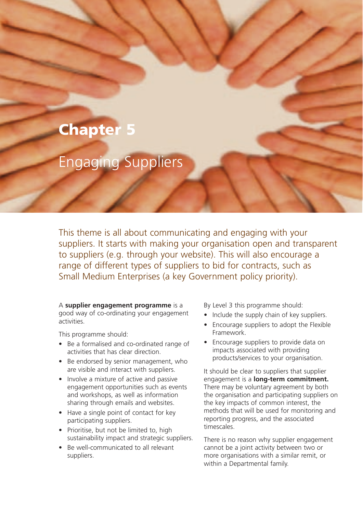# **Chapter 5**

# Engaging Suppliers

This theme is all about communicating and engaging with your suppliers. It starts with making your organisation open and transparent to suppliers (e.g. through your website). This will also encourage a range of different types of suppliers to bid for contracts, such as Small Medium Enterprises (a key Government policy priority).

A **supplier engagement programme** is a good way of co-ordinating your engagement activities.

This programme should:

- Be a formalised and co-ordinated range of activities that has clear direction.
- Be endorsed by senior management, who are visible and interact with suppliers.
- Involve a mixture of active and passive engagement opportunities such as events and workshops, as well as information sharing through emails and websites.
- Have a single point of contact for key participating suppliers.
- Prioritise, but not be limited to, high sustainability impact and strategic suppliers.
- Be well-communicated to all relevant suppliers.

By Level 3 this programme should:

- Include the supply chain of key suppliers.
- Encourage suppliers to adopt the Flexible Framework.
- Encourage suppliers to provide data on impacts associated with providing products/services to your organisation.

It should be clear to suppliers that supplier engagement is a **long-term commitment.** There may be voluntary agreement by both the organisation and participating suppliers on the key impacts of common interest, the methods that will be used for monitoring and reporting progress, and the associated timescales.

There is no reason why supplier engagement cannot be a joint activity between two or more organisations with a similar remit, or within a Departmental family.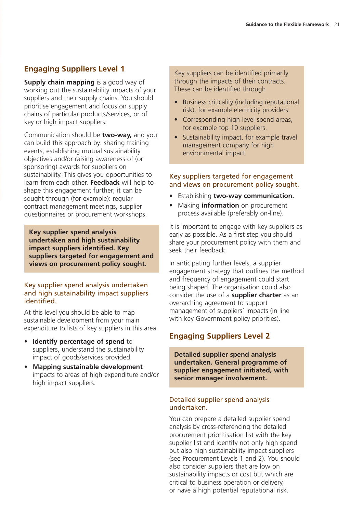# **Engaging Suppliers Level 1**

**Supply chain mapping** is a good way of working out the sustainability impacts of your suppliers and their supply chains. You should prioritise engagement and focus on supply chains of particular products/services, or of key or high impact suppliers.

Communication should be **two-way,** and you can build this approach by: sharing training events, establishing mutual sustainability objectives and/or raising awareness of (or sponsoring) awards for suppliers on sustainability. This gives you opportunities to learn from each other. **Feedback** will help to shape this engagement further; it can be sought through (for example): regular contract management meetings, supplier questionnaires or procurement workshops.

**Key supplier spend analysis undertaken and high sustainability impact suppliers identified. Key suppliers targeted for engagement and views on procurement policy sought.**

#### Key supplier spend analysis undertaken and high sustainability impact suppliers identified.

At this level you should be able to map sustainable development from your main expenditure to lists of key suppliers in this area.

- **Identify percentage of spend to** suppliers, understand the sustainability impact of goods/services provided.
- **Mapping sustainable development** impacts to areas of high expenditure and/or high impact suppliers.

Key suppliers can be identified primarily through the impacts of their contracts. These can be identified through

- Business criticality (including reputational risk), for example electricity providers.
- Corresponding high-level spend areas, for example top 10 suppliers.
- Sustainability impact, for example travel management company for high environmental impact.

#### Key suppliers targeted for engagement and views on procurement policy sought.

- Establishing **two-way communication.**
- Making **information** on procurement process available (preferably on-line).

It is important to engage with key suppliers as early as possible. As a first step you should share your procurement policy with them and seek their feedback.

In anticipating further levels, a supplier engagement strategy that outlines the method and frequency of engagement could start being shaped. The organisation could also consider the use of a **supplier charter** as an overarching agreement to support management of suppliers' impacts (in line with key Government policy priorities).

# **Engaging Suppliers Level 2**

**Detailed supplier spend analysis undertaken. General programme of supplier engagement initiated, with senior manager involvement.**

#### Detailed supplier spend analysis undertaken.

You can prepare a detailed supplier spend analysis by cross-referencing the detailed procurement prioritisation list with the key supplier list and identify not only high spend but also high sustainability impact suppliers (see Procurement Levels 1 and 2). You should also consider suppliers that are low on sustainability impacts or cost but which are critical to business operation or delivery, or have a high potential reputational risk.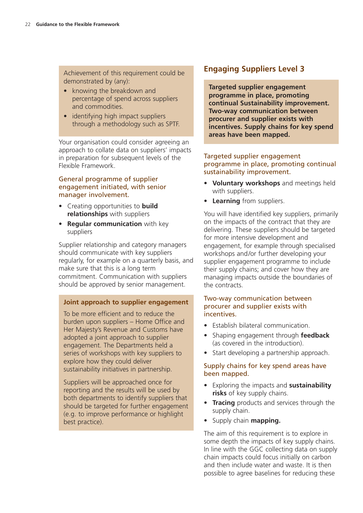Achievement of this requirement could be demonstrated by (any):

- knowing the breakdown and percentage of spend across suppliers and commodities.
- identifying high impact suppliers through a methodology such as SPTF.

Your organisation could consider agreeing an approach to collate data on suppliers' impacts in preparation for subsequent levels of the Flexible Framework.

#### General programme of supplier engagement initiated, with senior manager involvement.

- Creating opportunities to **build relationships** with suppliers
- **Regular communication** with key suppliers

Supplier relationship and category managers should communicate with key suppliers regularly, for example on a quarterly basis, and make sure that this is a long term commitment. Communication with suppliers should be approved by senior management.

#### **Joint approach to supplier engagement**

To be more efficient and to reduce the burden upon suppliers – Home Office and Her Majesty's Revenue and Customs have adopted a joint approach to supplier engagement. The Departments held a series of workshops with key suppliers to explore how they could deliver sustainability initiatives in partnership.

Suppliers will be approached once for reporting and the results will be used by both departments to identify suppliers that should be targeted for further engagement (e.g. to improve performance or highlight best practice).

# **Engaging Suppliers Level 3**

**Targeted supplier engagement programme in place, promoting continual Sustainability improvement. Two-way communication between procurer and supplier exists with incentives. Supply chains for key spend areas have been mapped.**

#### Targeted supplier engagement programme in place, promoting continual sustainability improvement.

- **Voluntary workshops** and meetings held with suppliers.
- **Learning** from suppliers.

You will have identified key suppliers, primarily on the impacts of the contract that they are delivering. These suppliers should be targeted for more intensive development and engagement, for example through specialised workshops and/or further developing your supplier engagement programme to include their supply chains; and cover how they are managing impacts outside the boundaries of the contracts.

#### Two-way communication between procurer and supplier exists with incentives.

- Establish bilateral communication.
- Shaping engagement through **feedback** (as covered in the introduction).
- Start developing a partnership approach.

#### Supply chains for key spend areas have been mapped.

- Exploring the impacts and **sustainability risks** of key supply chains.
- **Tracing** products and services through the supply chain.
- Supply chain **mapping.**

The aim of this requirement is to explore in some depth the impacts of key supply chains. In line with the GGC collecting data on supply chain impacts could focus initially on carbon and then include water and waste. It is then possible to agree baselines for reducing these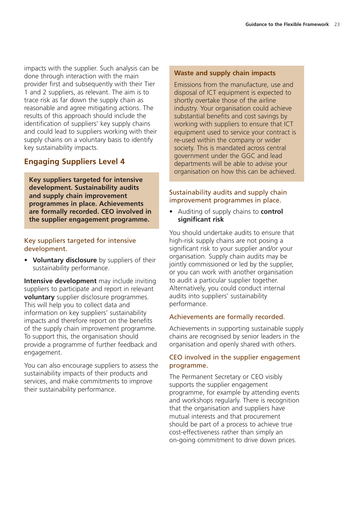impacts with the supplier. Such analysis can be done through interaction with the main provider first and subsequently with their Tier 1 and 2 suppliers, as relevant. The aim is to trace risk as far down the supply chain as reasonable and agree mitigating actions. The results of this approach should include the identification of suppliers' key supply chains and could lead to suppliers working with their supply chains on a voluntary basis to identify key sustainability impacts.

### **Engaging Suppliers Level 4**

**Key suppliers targeted for intensive development. Sustainability audits and supply chain improvement programmes in place. Achievements are formally recorded. CEO involved in the supplier engagement programme.**

#### Key suppliers targeted for intensive development.

• **Voluntary disclosure** by suppliers of their sustainability performance.

**Intensive development** may include inviting suppliers to participate and report in relevant **voluntary** supplier disclosure programmes. This will help you to collect data and information on key suppliers' sustainability impacts and therefore report on the benefits of the supply chain improvement programme. To support this, the organisation should provide a programme of further feedback and engagement.

You can also encourage suppliers to assess the sustainability impacts of their products and services, and make commitments to improve their sustainability performance.

#### **Waste and supply chain impacts**

Emissions from the manufacture, use and disposal of ICT equipment is expected to shortly overtake those of the airline industry. Your organisation could achieve substantial benefits and cost savings by working with suppliers to ensure that ICT equipment used to service your contract is re-used within the company or wider society. This is mandated across central government under the GGC and lead departments will be able to advise your organisation on how this can be achieved.

#### Sustainability audits and supply chain improvement programmes in place.

• Auditing of supply chains to **control significant risk**

You should undertake audits to ensure that high-risk supply chains are not posing a significant risk to your supplier and/or your organisation. Supply chain audits may be jointly commissioned or led by the supplier, or you can work with another organisation to audit a particular supplier together. Alternatively, you could conduct internal audits into suppliers' sustainability performance.

#### Achievements are formally recorded.

Achievements in supporting sustainable supply chains are recognised by senior leaders in the organisation and openly shared with others.

#### CEO involved in the supplier engagement programme.

The Permanent Secretary or CEO visibly supports the supplier engagement programme, for example by attending events and workshops regularly. There is recognition that the organisation and suppliers have mutual interests and that procurement should be part of a process to achieve true cost-effectiveness rather than simply an on-going commitment to drive down prices.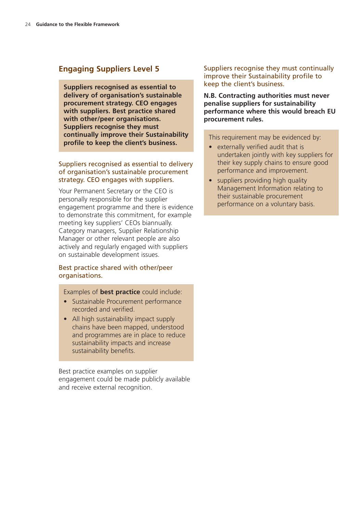## **Engaging Suppliers Level 5**

**Suppliers recognised as essential to delivery of organisation's sustainable procurement strategy. CEO engages with suppliers. Best practice shared with other/peer organisations. Suppliers recognise they must continually improve their Sustainability profile to keep the client's business.**

#### Suppliers recognised as essential to delivery of organisation's sustainable procurement strategy. CEO engages with suppliers.

Your Permanent Secretary or the CEO is personally responsible for the supplier engagement programme and there is evidence to demonstrate this commitment, for example meeting key suppliers' CEOs biannually. Category managers, Supplier Relationship Manager or other relevant people are also actively and regularly engaged with suppliers on sustainable development issues.

#### Best practice shared with other/peer organisations.

#### Examples of **best practice** could include:

- Sustainable Procurement performance recorded and verified.
- All high sustainability impact supply chains have been mapped, understood and programmes are in place to reduce sustainability impacts and increase sustainability benefits.

Best practice examples on supplier engagement could be made publicly available and receive external recognition.

#### Suppliers recognise they must continually improve their Sustainability profile to keep the client's business.

**N.B. Contracting authorities must never penalise suppliers for sustainability performance where this would breach EU procurement rules.**

This requirement may be evidenced by:

- externally verified audit that is undertaken jointly with key suppliers for their key supply chains to ensure good performance and improvement.
- suppliers providing high quality Management Information relating to their sustainable procurement performance on a voluntary basis.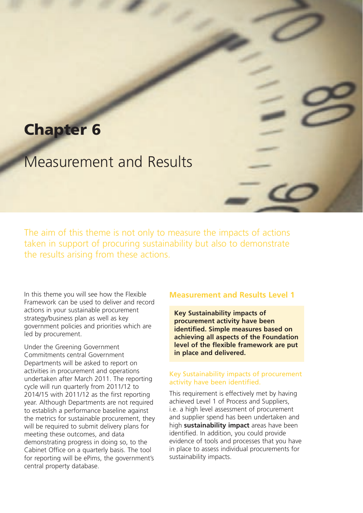# **Chapter 6**

# Measurement and Results

The aim of this theme is not only to measure the impacts of actions taken in support of procuring sustainability but also to demonstrate the results arising from these actions.

In this theme you will see how the Flexible Framework can be used to deliver and record actions in your sustainable procurement strategy/business plan as well as key government policies and priorities which are led by procurement.

Under the Greening Government Commitments central Government Departments will be asked to report on activities in procurement and operations undertaken after March 2011. The reporting cycle will run quarterly from 2011/12 to 2014/15 with 2011/12 as the first reporting year. Although Departments are not required to establish a performance baseline against the metrics for sustainable procurement, they will be required to submit delivery plans for meeting these outcomes, and data demonstrating progress in doing so, to the Cabinet Office on a quarterly basis. The tool for reporting will be ePims, the government's central property database.

### **Measurement and Results Level 1**

**Key Sustainability impacts of procurement activity have been identified. Simple measures based on achieving all aspects of the Foundation level of the flexible framework are put in place and delivered.**

#### Key Sustainability impacts of procurement activity have been identified.

This requirement is effectively met by having achieved Level 1 of Process and Suppliers, i.e. a high level assessment of procurement and supplier spend has been undertaken and high **sustainability impact** areas have been identified. In addition, you could provide evidence of tools and processes that you have in place to assess individual procurements for sustainability impacts.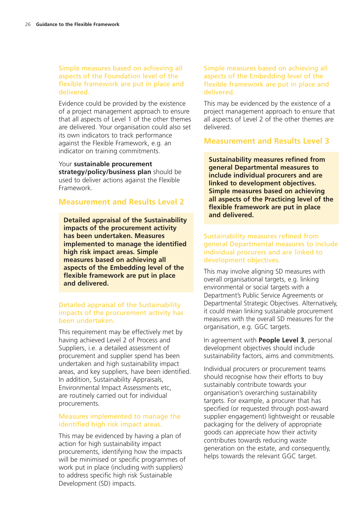#### Simple measures based on achieving all aspects of the Foundation level of the flexible framework are put in place and delivered.

Evidence could be provided by the existence of a project management approach to ensure that all aspects of Level 1 of the other themes are delivered. Your organisation could also set its own indicators to track performance against the Flexible Framework, e.g. an indicator on training commitments.

Your **sustainable procurement strategy/policy/business plan** should be used to deliver actions against the Flexible Framework.

#### **Measurement and Results Level 2**

**and delivered. Detailed appraisal of the Sustainability impacts of the procurement activity has been undertaken. Measures implemented to manage the identified high risk impact areas. Simple measures based on achieving all aspects of the Embedding level of the flexible framework are put in place and delivered.**

#### Detailed appraisal of the Sustainability impacts of the procurement activity has been undertaken.

This requirement may be effectively met by having achieved Level 2 of Process and Suppliers, i.e. a detailed assessment of procurement and supplier spend has been undertaken and high sustainability impact areas, and key suppliers, have been identified. In addition, Sustainability Appraisals, Environmental Impact Assessments etc, are routinely carried out for individual procurements.

#### Measures implemented to manage the identified high risk impact areas.

This may be evidenced by having a plan of action for high sustainability impact procurements, identifying how the impacts will be minimised or specific programmes of work put in place (including with suppliers) to address specific high risk Sustainable Development (SD) impacts.

Simple measures based on achieving all aspects of the Embedding level of the flexible framework are put in place and delivered.

This may be evidenced by the existence of a project management approach to ensure that all aspects of Level 2 of the other themes are delivered.

## **Measurement and Results Level 3**

**Sustainability measures refined from general Departmental measures to include individual procurers and are linked to development objectives. Simple measures based on achieving all aspects of the Practicing level of the flexible framework are put in place**

#### Sustainability measures refined from general Departmental measures to include individual procurers and are linked to development objectives.

This may involve aligning SD measures with overall organisational targets, e.g. linking environmental or social targets with a Department's Public Service Agreements or Departmental Strategic Objectives. Alternatively, it could mean linking sustainable procurement measures with the overall SD measures for the organisation, e.g. GGC targets.

In agreement with **People Level 3**, personal development objectives should include sustainability factors, aims and commitments.

Individual procurers or procurement teams should recognise how their efforts to buy sustainably contribute towards your organisation's overarching sustainability targets. For example, a procurer that has specified (or requested through post-award supplier engagement) lightweight or reusable packaging for the delivery of appropriate goods can appreciate how their activity contributes towards reducing waste generation on the estate, and consequently, helps towards the relevant GGC target.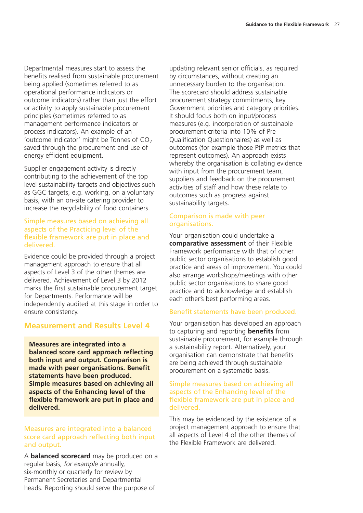Departmental measures start to assess the benefits realised from sustainable procurement being applied (sometimes referred to as operational performance indicators or outcome indicators) rather than just the effort or activity to apply sustainable procurement principles (sometimes referred to as management performance indicators or process indicators). An example of an 'outcome indicator' might be Tonnes of  $CO<sub>2</sub>$ saved through the procurement and use of energy efficient equipment.

Supplier engagement activity is directly contributing to the achievement of the top level sustainability targets and objectives such as GGC targets, e.g. working, on a voluntary basis, with an on-site catering provider to increase the recyclability of food containers.

#### Simple measures based on achieving all aspects of the Practicing level of the flexible framework are put in place and delivered.

Evidence could be provided through a project management approach to ensure that all aspects of Level 3 of the other themes are delivered. Achievement of Level 3 by 2012 marks the first sustainable procurement target for Departments. Performance will be independently audited at this stage in order to ensure consistency.

# **Measurement and Results Level 4**

**Measures are integrated into a balanced score card approach reflecting both input and output. Comparison is made with peer organisations. Benefit statements have been produced. Simple measures based on achieving all aspects of the Enhancing level of the flexible framework are put in place and delivered.**

#### Measures are integrated into a balanced score card approach reflecting both input and output.

A **balanced scorecard** may be produced on a regular basis, *for example* annually, six-monthly or quarterly for review by Permanent Secretaries and Departmental heads. Reporting should serve the purpose of

updating relevant senior officials, as required by circumstances, without creating an unnecessary burden to the organisation. The scorecard should address sustainable procurement strategy commitments, key Government priorities and category priorities. It should focus both on input/process measures (e.g. incorporation of sustainable procurement criteria into 10% of Pre Qualification Questionnaires) as well as outcomes (for example those PtP metrics that represent outcomes). An approach exists whereby the organisation is collating evidence with input from the procurement team, suppliers and feedback on the procurement activities of staff and how these relate to outcomes such as progress against sustainability targets.

#### Comparison is made with peer organisations.

Your organisation could undertake a **comparative assessment** of their Flexible Framework performance with that of other public sector organisations to establish good practice and areas of improvement. You could also arrange workshops/meetings with other public sector organisations to share good practice and to acknowledge and establish each other's best performing areas.

#### Benefit statements have been produced.

Your organisation has developed an approach to capturing and reporting **benefits** from sustainable procurement, for example through a sustainability report. Alternatively, your organisation can demonstrate that benefits are being achieved through sustainable procurement on a systematic basis.

#### Simple measures based on achieving all aspects of the Enhancing level of the flexible framework are put in place and delivered.

This may be evidenced by the existence of a project management approach to ensure that all aspects of Level 4 of the other themes of the Flexible Framework are delivered.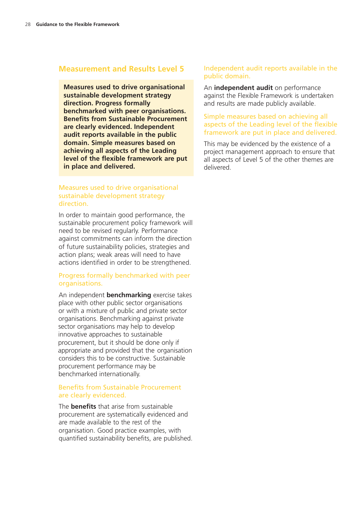#### **Measurement and Results Level 5**

**Measures used to drive organisational sustainable development strategy direction. Progress formally benchmarked with peer organisations. Benefits from Sustainable Procurement are clearly evidenced. Independent audit reports available in the public domain. Simple measures based on achieving all aspects of the Leading level of the flexible framework are put in place and delivered.**

#### Measures used to drive organisational sustainable development strategy direction.

In order to maintain good performance, the sustainable procurement policy framework will need to be revised regularly. Performance against commitments can inform the direction of future sustainability policies, strategies and action plans; weak areas will need to have actions identified in order to be strengthened.

#### Progress formally benchmarked with peer organisations.

An independent **benchmarking** exercise takes place with other public sector organisations or with a mixture of public and private sector organisations. Benchmarking against private sector organisations may help to develop innovative approaches to sustainable procurement, but it should be done only if appropriate and provided that the organisation considers this to be constructive. Sustainable procurement performance may be benchmarked internationally.

#### Benefits from Sustainable Procurement are clearly evidenced.

The **benefits** that arise from sustainable procurement are systematically evidenced and are made available to the rest of the organisation. Good practice examples, with quantified sustainability benefits, are published.

#### Independent audit reports available in the public domain.

An **independent audit** on performance against the Flexible Framework is undertaken and results are made publicly available.

#### Simple measures based on achieving all aspects of the Leading level of the flexible framework are put in place and delivered.

This may be evidenced by the existence of a project management approach to ensure that all aspects of Level 5 of the other themes are delivered.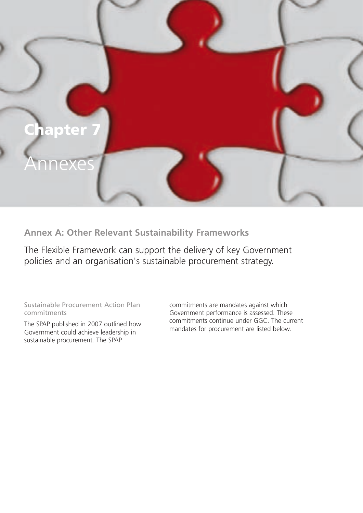

**Annex A: Other Relevant Sustainability Frameworks**

The Flexible Framework can support the delivery of key Government policies and an organisation's sustainable procurement strategy.

Sustainable Procurement Action Plan commitments

The SPAP published in 2007 outlined how Government could achieve leadership in sustainable procurement. The SPAP

commitments are mandates against which Government performance is assessed. These commitments continue under GGC. The current mandates for procurement are listed below.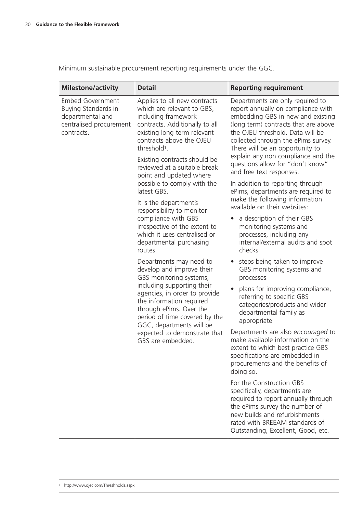Minimum sustainable procurement reporting requirements under the GGC.

| <b>Milestone/activity</b>                                                                                   | <b>Detail</b>                                                                                                                                                                                              | <b>Reporting requirement</b>                                                                                                                                                                                                                                      |
|-------------------------------------------------------------------------------------------------------------|------------------------------------------------------------------------------------------------------------------------------------------------------------------------------------------------------------|-------------------------------------------------------------------------------------------------------------------------------------------------------------------------------------------------------------------------------------------------------------------|
| <b>Embed Government</b><br>Buying Standards in<br>departmental and<br>centralised procurement<br>contracts. | Applies to all new contracts<br>which are relevant to GBS,<br>including framework<br>contracts. Additionally to all<br>existing long term relevant<br>contracts above the OJEU<br>threshold <sup>1</sup> . | Departments are only required to<br>report annually on compliance with<br>embedding GBS in new and existing<br>(long term) contracts that are above<br>the OJEU threshold. Data will be<br>collected through the ePims survey.<br>There will be an opportunity to |
|                                                                                                             | Existing contracts should be<br>reviewed at a suitable break<br>point and updated where                                                                                                                    | explain any non compliance and the<br>questions allow for "don't know"<br>and free text responses.                                                                                                                                                                |
|                                                                                                             | possible to comply with the<br>latest GBS.<br>It is the department's                                                                                                                                       | In addition to reporting through<br>ePims, departments are required to<br>make the following information<br>available on their websites:                                                                                                                          |
|                                                                                                             | responsibility to monitor<br>compliance with GBS<br>irrespective of the extent to<br>which it uses centralised or<br>departmental purchasing<br>routes.                                                    | a description of their GBS<br>monitoring systems and<br>processes, including any<br>internal/external audits and spot<br>checks                                                                                                                                   |
|                                                                                                             | Departments may need to<br>develop and improve their<br>GBS monitoring systems,                                                                                                                            | steps being taken to improve<br>$\bullet$<br>GBS monitoring systems and<br>processes                                                                                                                                                                              |
|                                                                                                             | including supporting their<br>agencies, in order to provide<br>the information required<br>through ePims. Over the<br>period of time covered by the<br>GGC, departments will be                            | plans for improving compliance,<br>$\bullet$<br>referring to specific GBS<br>categories/products and wider<br>departmental family as<br>appropriate                                                                                                               |
|                                                                                                             | expected to demonstrate that<br>GBS are embedded.                                                                                                                                                          | Departments are also encouraged to<br>make available information on the<br>extent to which best practice GBS<br>specifications are embedded in<br>procurements and the benefits of<br>doing so.                                                                   |
|                                                                                                             |                                                                                                                                                                                                            | For the Construction GBS<br>specifically, departments are<br>required to report annually through<br>the ePims survey the number of<br>new builds and refurbishments<br>rated with BREEAM standards of<br>Outstanding, Excellent, Good, etc.                       |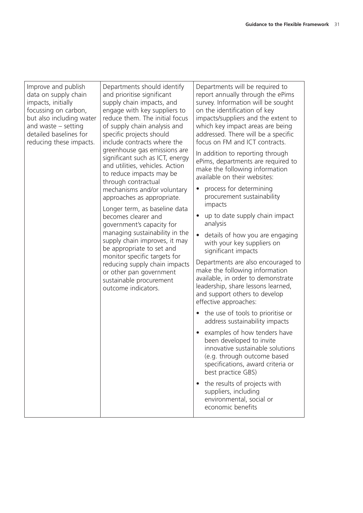| Improve and publish      | Departments should identify                                                                                                                                                                                                                                                                                                                                                                                                                                                                                                                           | Departments will be required to                                                                                                                                                                                                                                                                                                                                                                                                                                                                                                                                                                                                                                                                                                                                                                                                                                                                                                                                                                |
|--------------------------|-------------------------------------------------------------------------------------------------------------------------------------------------------------------------------------------------------------------------------------------------------------------------------------------------------------------------------------------------------------------------------------------------------------------------------------------------------------------------------------------------------------------------------------------------------|------------------------------------------------------------------------------------------------------------------------------------------------------------------------------------------------------------------------------------------------------------------------------------------------------------------------------------------------------------------------------------------------------------------------------------------------------------------------------------------------------------------------------------------------------------------------------------------------------------------------------------------------------------------------------------------------------------------------------------------------------------------------------------------------------------------------------------------------------------------------------------------------------------------------------------------------------------------------------------------------|
| data on supply chain     | and prioritise significant                                                                                                                                                                                                                                                                                                                                                                                                                                                                                                                            | report annually through the ePims                                                                                                                                                                                                                                                                                                                                                                                                                                                                                                                                                                                                                                                                                                                                                                                                                                                                                                                                                              |
| impacts, initially       | supply chain impacts, and                                                                                                                                                                                                                                                                                                                                                                                                                                                                                                                             | survey. Information will be sought                                                                                                                                                                                                                                                                                                                                                                                                                                                                                                                                                                                                                                                                                                                                                                                                                                                                                                                                                             |
| focussing on carbon,     | engage with key suppliers to                                                                                                                                                                                                                                                                                                                                                                                                                                                                                                                          | on the identification of key                                                                                                                                                                                                                                                                                                                                                                                                                                                                                                                                                                                                                                                                                                                                                                                                                                                                                                                                                                   |
| but also including water | reduce them. The initial focus                                                                                                                                                                                                                                                                                                                                                                                                                                                                                                                        | impacts/suppliers and the extent to                                                                                                                                                                                                                                                                                                                                                                                                                                                                                                                                                                                                                                                                                                                                                                                                                                                                                                                                                            |
| and waste $-$ setting    | of supply chain analysis and                                                                                                                                                                                                                                                                                                                                                                                                                                                                                                                          | which key impact areas are being                                                                                                                                                                                                                                                                                                                                                                                                                                                                                                                                                                                                                                                                                                                                                                                                                                                                                                                                                               |
| detailed baselines for   | specific projects should                                                                                                                                                                                                                                                                                                                                                                                                                                                                                                                              | addressed. There will be a specific                                                                                                                                                                                                                                                                                                                                                                                                                                                                                                                                                                                                                                                                                                                                                                                                                                                                                                                                                            |
| reducing these impacts.  | include contracts where the                                                                                                                                                                                                                                                                                                                                                                                                                                                                                                                           | focus on FM and ICT contracts.                                                                                                                                                                                                                                                                                                                                                                                                                                                                                                                                                                                                                                                                                                                                                                                                                                                                                                                                                                 |
|                          | greenhouse gas emissions are<br>significant such as ICT, energy<br>and utilities, vehicles. Action<br>to reduce impacts may be<br>through contractual<br>mechanisms and/or voluntary<br>approaches as appropriate.<br>Longer term, as baseline data<br>becomes clearer and<br>government's capacity for<br>managing sustainability in the<br>supply chain improves, it may<br>be appropriate to set and<br>monitor specific targets for<br>reducing supply chain impacts<br>or other pan government<br>sustainable procurement<br>outcome indicators. | In addition to reporting through<br>ePims, departments are required to<br>make the following information<br>available on their websites:<br>process for determining<br>$\bullet$<br>procurement sustainability<br>impacts<br>up to date supply chain impact<br>$\bullet$<br>analysis<br>details of how you are engaging<br>$\bullet$<br>with your key suppliers on<br>significant impacts<br>Departments are also encouraged to<br>make the following information<br>available, in order to demonstrate<br>leadership, share lessons learned,<br>and support others to develop<br>effective approaches:<br>the use of tools to prioritise or<br>address sustainability impacts<br>examples of how tenders have<br>been developed to invite<br>innovative sustainable solutions<br>(e.g. through outcome based<br>specifications, award criteria or<br>best practice GBS)<br>the results of projects with<br>$\bullet$<br>suppliers, including<br>environmental, social or<br>economic benefits |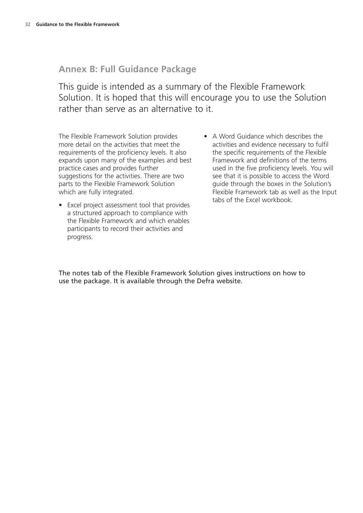# **Annex B: Full Guidance Package**

This guide is intended as a summary of the Flexible Framework Solution. It is hoped that this will encourage you to use the Solution rather than serve as an alternative to it.

The Flexible Framework Solution provides more detail on the activities that meet the requirements of the proficiency levels. It also expands upon many of the examples and best practice cases and provides further suggestions for the activities. There are two parts to the Flexible Framework Solution which are fully integrated.

- Excel project assessment tool that provides a structured approach to compliance with the Flexible Framework and which enables participants to record their activities and progress.
- A Word Guidance which describes the activities and evidence necessary to fulfil the specific requirements of the Flexible Framework and definitions of the terms used in the five proficiency levels. You will see that it is possible to access the Word guide through the boxes in the Solution's Flexible Framework tab as well as the Input tabs of the Excel workbook.

The notes tab of the Flexible Framework Solution gives instructions on how to use the package. It is available through the Defra website.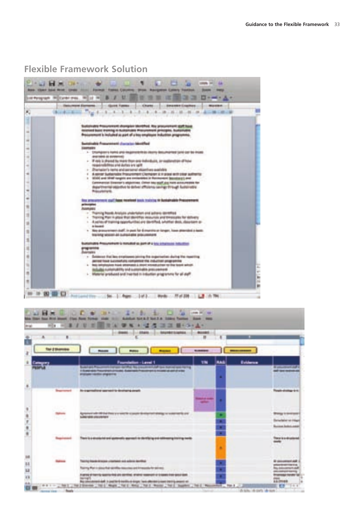# **Flexible Framework Solution**

| 世<br>20 20 10 model A. 6<br>$\mathbb{R}$<br>Sid Perspays, INDISHATING, INSIDE INSID<br>1200 |                                                                                                                                                           |  |  |
|---------------------------------------------------------------------------------------------|-----------------------------------------------------------------------------------------------------------------------------------------------------------|--|--|
|                                                                                             | speed in the company of persons in the company of the department for address in the<br><b>COMMERCIAL</b>                                                  |  |  |
|                                                                                             | $-1$ $-1$<br><b>THE</b>                                                                                                                                   |  |  |
|                                                                                             |                                                                                                                                                           |  |  |
|                                                                                             | also from comedi champion should be a procurate to gall is                                                                                                |  |  |
|                                                                                             | ed layers draming it: byskamistics Manuscomedia principles, Bu<br>is included as part of place employee industries.                                       |  |  |
|                                                                                             |                                                                                                                                                           |  |  |
|                                                                                             | ingless Proposition and chancer into Advertising                                                                                                          |  |  |
|                                                                                             | 1. Displayment is leaded and insulation to do closers that construct take can be inter-                                                                   |  |  |
|                                                                                             | deal rated at an excellent                                                                                                                                |  |  |
|                                                                                             | - Track is phoned by more they used individuals, or exploration of his<br>responsibilities and during law rather                                          |  |  |
|                                                                                             | - Startegier's harts and personal eligenties available                                                                                                    |  |  |
|                                                                                             | 1. A selvan Sudanistic Procurement Clariform is in place with older authority<br>1 1974 and 1978 and response are excludibled by Rosmount Schools and and |  |  |
|                                                                                             | Calestonalistasi Elizabetan'si adalah kilapi. Chikani balu aslah alas hakis apik pulau pendalan Ran                                                       |  |  |
|                                                                                             | anthromat passetted to detect officience contract through business<br>Management.                                                                         |  |  |
|                                                                                             |                                                                                                                                                           |  |  |
|                                                                                             | to principlomate you!!! News makings tools training to during the business President and<br><b><i><u>STATISTICS</u></i></b>                               |  |  |
|                                                                                             | <b>Parties and Control</b>                                                                                                                                |  |  |
|                                                                                             | - Thaming from the highest undertaken and automo-generalized<br>. Topical Paris is played that developed industries and the product of the state          |  |  |
|                                                                                             | 1. A particular training expendicutions are identified, substitute decis, designant or                                                                    |  |  |
|                                                                                             | as based on<br>. This draw entert is all, in part for 4 months in larger. To in attended a bank                                                           |  |  |
|                                                                                             | THE RIVE WINDOW ARE ANTIQUES AND ARRESTS FOR                                                                                                              |  |  |
|                                                                                             | make manufactured in the state of the last of a last company in the first                                                                                 |  |  |
|                                                                                             |                                                                                                                                                           |  |  |
|                                                                                             | <b>STARTS</b>                                                                                                                                             |  |  |
|                                                                                             | Delays at the law engineers being the inquirement during the inserting<br>by front and clear play and graduate the states light programme.                |  |  |
|                                                                                             | 1. This introduction travel attraction 4 decision scenarios for the textile which                                                                         |  |  |
|                                                                                             | struktility (and constant sales), press creative a<br>1. Material produced and married in industry angrenory for all staff                                |  |  |
|                                                                                             |                                                                                                                                                           |  |  |

| m.<br>٠ |                                                                                                                                                                          | <b>Barnett St.</b><br>۰     |                                                   |                                          |
|---------|--------------------------------------------------------------------------------------------------------------------------------------------------------------------------|-----------------------------|---------------------------------------------------|------------------------------------------|
|         |                                                                                                                                                                          | <b>Building College Co.</b> |                                                   |                                          |
|         | believe - Lavret 1<br><b>Right Many Arms automobile County Program Inc.</b>                                                                                              | <b>THE</b><br>فندا          | <b><i><u>Builderson</u></i></b>                   |                                          |
|         | <b>COMMERCIAL PROGRAMMER AND ADDRESS OF A PARK</b><br>Provident condition originations.                                                                                  | m                           | <b>CONTRACTOR</b>                                 |                                          |
|         | <b>PERSONAL PROPERTY AND RESIDENTS</b>                                                                                                                                   |                             |                                                   |                                          |
|         | In a good process of the company end of                                                                                                                                  |                             | <b>Though all stage is in</b>                     |                                          |
|         |                                                                                                                                                                          |                             |                                                   |                                          |
|         | on with the that they are well to a causale throughout streamy or support<br><b>CONTRACTOR</b><br><b>Links and Principals</b><br>________________________                |                             |                                                   | <b>TENNIS DI MARIE</b>                   |
|         |                                                                                                                                                                          | в<br>ш                      | <b>Booker Solderly best</b>                       | <b>Service Castless Coast Constitute</b> |
|         | Check of the construction of the property of the construction of the construction<br>and it is a reforming that any opposite their supporters. As infecting the products | ш                           | <b>CONTRACTOR</b><br><b>Transport of American</b> |                                          |
|         |                                                                                                                                                                          | m.                          |                                                   |                                          |
|         | Terms from thrown charters and school section.                                                                                                                           |                             | <b>By consumer and confi-</b>                     |                                          |
|         | Reprints May 1- design Pauli spinstillage many may and throughout the spinsters                                                                                          | п                           |                                                   |                                          |